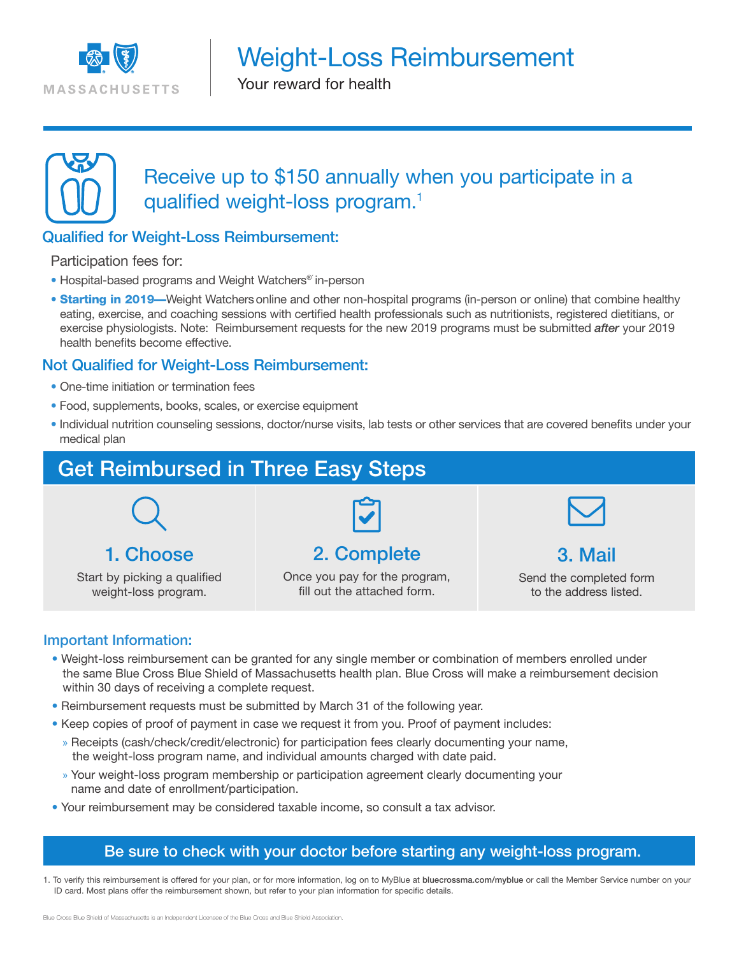

Weight-Loss Reimbursement

Your reward for health



Receive up to \$150 annually when you participate in a qualified weight-loss program.<sup>1</sup>

# Qualified for Weight-Loss Reimbursement:

Participation fees for:

- Hospital-based programs and Weight Watchers<sup>®</sup> in-person
- Starting in 2019—Weight Watchers online and other non-hospital programs (in-person or online) that combine healthy eating, exercise, and coaching sessions with certified health professionals such as nutritionists, registered dietitians, or exercise physiologists. Note: Reimbursement requests for the new 2019 programs must be submitted *after* your 2019 health benefits become effective.

## Not Qualified for Weight-Loss Reimbursement:

- One-time initiation or termination fees
- Food, supplements, books, scales, or exercise equipment
- Individual nutrition counseling sessions, doctor/nurse visits, lab tests or other services that are covered benefits under your medical plan



Start by picking a qualified weight-loss program.

Once you pay for the program, fill out the attached form.

Send the completed form to the address listed.

#### Important Information:

- Weight-loss reimbursement can be granted for any single member or combination of members enrolled under the same Blue Cross Blue Shield of Massachusetts health plan. Blue Cross will make a reimbursement decision within 30 days of receiving a complete request.
- Reimbursement requests must be submitted by March 31 of the following year.
- Keep copies of proof of payment in case we request it from you. Proof of payment includes:
	- » Receipts (cash/check/credit/electronic) for participation fees clearly documenting your name, the weight-loss program name, and individual amounts charged with date paid.
	- » Your weight-loss program membership or participation agreement clearly documenting your name and date of enrollment/participation.
- Your reimbursement may be considered taxable income, so consult a tax advisor.

## Be sure to check with your doctor before starting any weight-loss program.

1. To verify this reimbursement is offered for your plan, or for more information, log on to MyBlue at bluecrossma.com/myblue or call the Member Service number on your ID card. Most plans offer the reimbursement shown, but refer to your plan information for specific details.